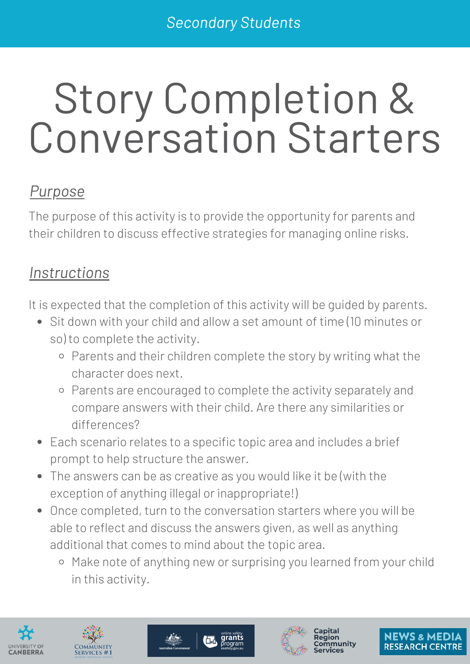# Story Completion & Conversation Starters

### *Purpose*

The purpose of this activity is to provide the opportunity for parents and their children to discuss effective strategies for managing online risks.

#### *Instructions*

It is expected that the completion of this activity will be guided by parents.

- Sit down with your child and allow a set amount of time (10 minutes or so) to complete the activity.
	- o Parents and their children complete the story by writing what the character does next.
	- Parents are encouraged to complete the activity separately and compare answers with their child. Are there any similarities or differences?
- Each scenario relates to a specific topic area and includes a brief prompt to help structure the answer.
- The answers can be as creative as you would like it be (with the exception of anything illegal or inappropriate!)
- Once completed, turn to the conversation starters where you will be able to reflect and discuss the answers given, as well as anything additional that comes to mind about the topic area.
	- o Make note of anything new or surprising you learned from your child in this activity.









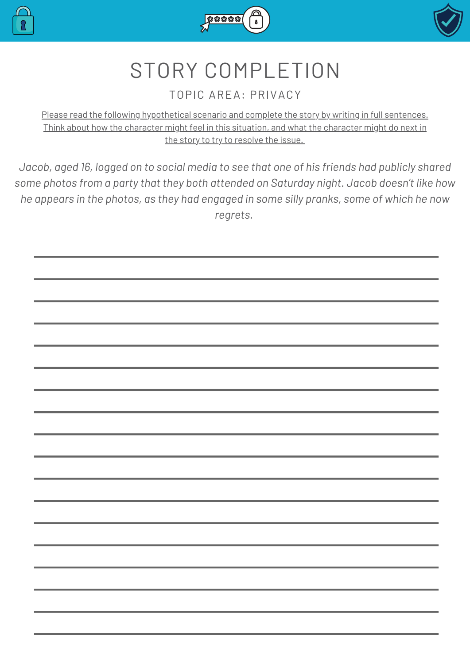





#### TOPIC AREA: PRIVACY

Please read the following hypothetical scenario and complete the story by writing in full sentences. Think about how the character might feel in this situation, and what the character might do next in the story to try to resolve the issue.

*Jacob, aged 16, logged on to social media to see that one of his friends had publicly shared some photos from a party that they both attended on Saturday night. Jacob doesn't like how he appears in the photos, as they had engaged in some silly pranks, some of which he now regrets.*

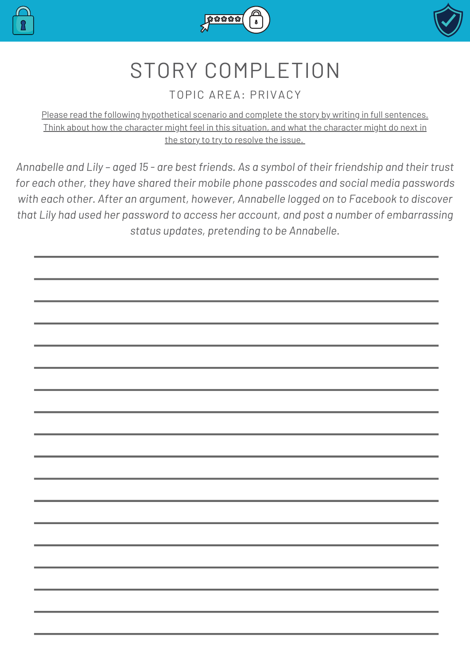





#### TOPIC AREA: PRIVACY

Please read the following hypothetical scenario and complete the story by writing in full sentences. Think about how the character might feel in this situation, and what the character might do next in the story to try to resolve the issue.

Annabelle and Lily - aged 15 - are best friends. As a symbol of their friendship and their trust *for each other, they have shared their mobile phone passcodes and social media passwords with each other. After an argument, however, Annabelle logged on to Facebook to discover that Lily had used her password to access her account, and post a number of embarrassing status updates, pretending to be Annabelle.*

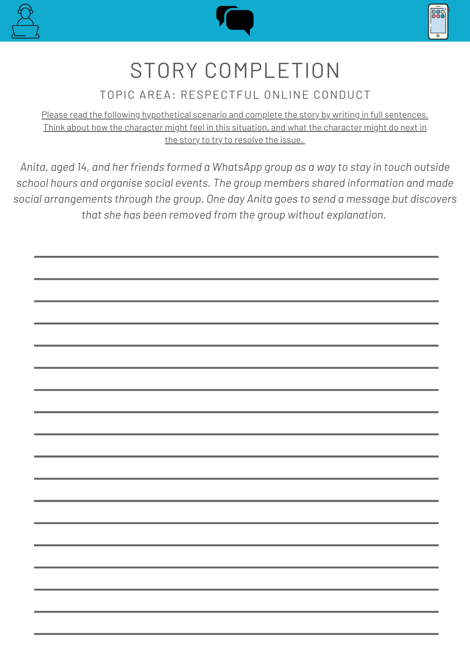





#### TOPIC AREA: RESPECTFUL ONLINE CONDUCT

Please read the following hypothetical scenario and complete the story by writing in full sentences. Think about how the character might feel in this situation, and what the character might do next in the story to try to resolve the issue.

*Anita, aged 14, and her friends formed a WhatsApp group as a way to stay in touch outside school hours and organise social events. The group members shared information and made social arrangements through the group. One day Anita goes to send a message but discovers that she has been removed from the group without explanation.*

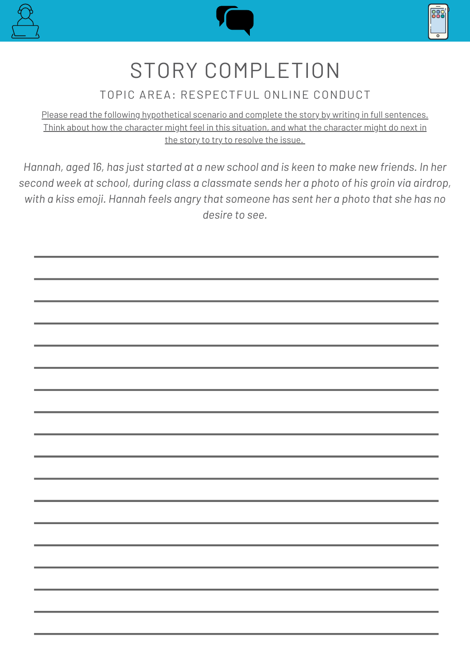





#### TOPIC AREA: RESPECTFUL ONLINE CONDUCT

Please read the following hypothetical scenario and complete the story by writing in full sentences. Think about how the character might feel in this situation, and what the character might do next in the story to try to resolve the issue.

*Hannah, aged 16, has just started at a new school and is keen to make new friends. In her second week at school, during class a classmate sends her a photo of his groin via airdrop, with a kiss emoji. Hannah feels angry that someone has sent her a photo that she has no desire to see.*

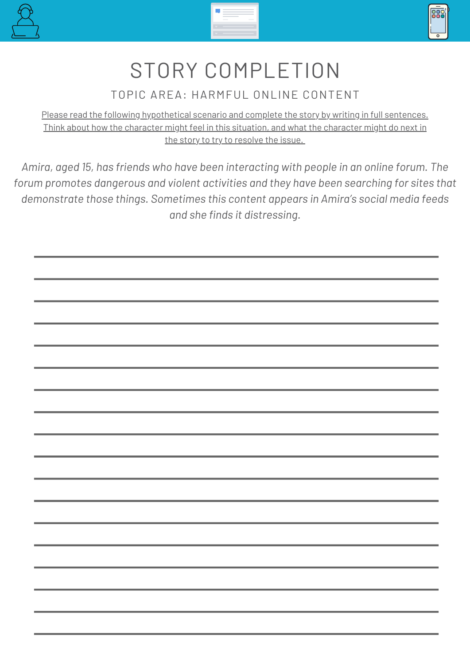





TOPIC AREA: HARMFUL ONLINE CONTENT

Please read the following hypothetical scenario and complete the story by writing in full sentences. Think about how the character might feel in this situation, and what the character might do next in the story to try to resolve the issue.

*Amira, aged 15, has friends who have been interacting with people in an online forum. The forum promotes dangerous and violent activities and they have been searching for sites that demonstrate those things. Sometimes this content appears in Amira's social media feeds and she finds it distressing.*

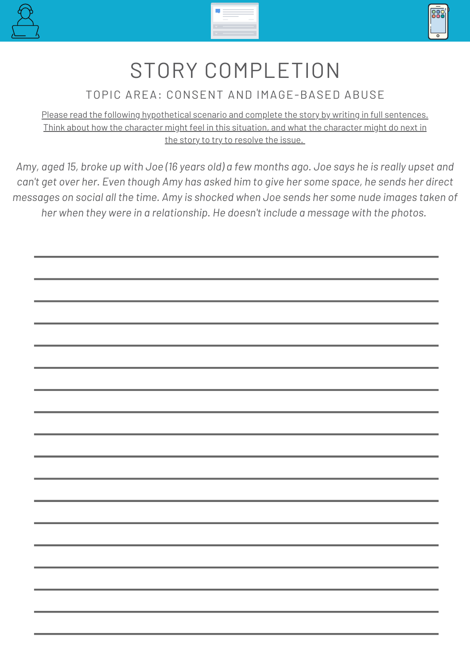





#### TOPIC AREA: CONSENT AND IMAGE-BASED ABUSE

Please read the following hypothetical scenario and complete the story by writing in full sentences. Think about how the character might feel in this situation, and what the character might do next in the story to try to resolve the issue.

Amy, aged 15, broke up with Joe (16 years old) a few months ago. Joe says he is really upset and can't get over her. Even though Amy has asked him to give her some space, he sends her direct *messages on social all the time. Amy is shocked when Joe sends her some nude images taken of her when they were in a relationship. He doesn't include a message with the photos.*

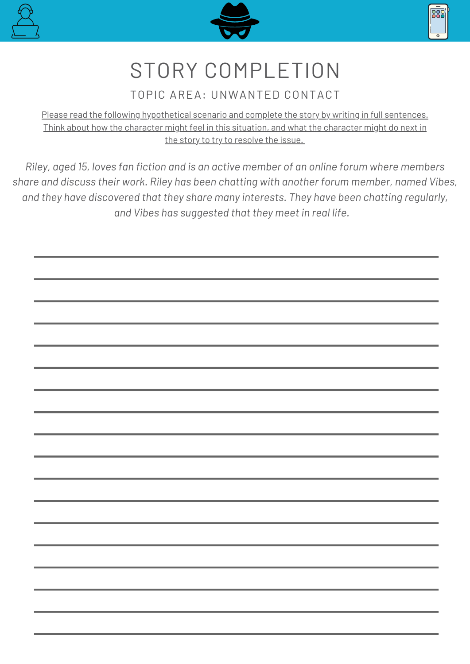





#### TOPIC AREA: UNWANTED CONTACT

Please read the following hypothetical scenario and complete the story by writing in full sentences. Think about how the character might feel in this situation, and what the character might do next in the story to try to resolve the issue.

*Riley, aged 15, loves fan fiction and is an active member of an online forum where members share and discuss their work. Riley has been chatting with another forum member, named Vibes, and they have discovered that they share many interests. They have been chatting regularly, and Vibes has suggested that they meet in real life.*